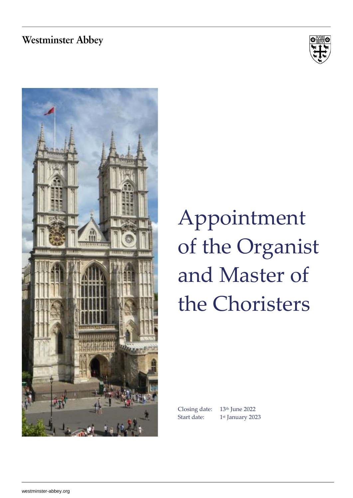#### **Westminster Abbey**





# Appointment of the Organist and Master of the Choristers

Start date:

Closing date: 13 th June 2022 1<sup>st</sup> January 2023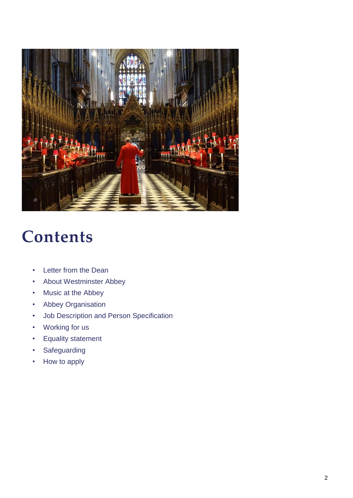

### **Contents**

- Letter from the Dean
- About Westminster Abbey
- Music at the Abbey
- Abbey Organisation
- Job Description and Person Specification
- Working for us
- Equality statement
- Safeguarding
- How to apply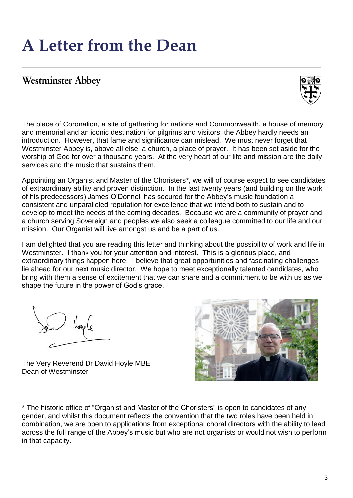### **A Letter from the Dean**

#### **Westminster Abbey**



The place of Coronation, a site of gathering for nations and Commonwealth, a house of memory and memorial and an iconic destination for pilgrims and visitors, the Abbey hardly needs an introduction. However, that fame and significance can mislead. We must never forget that Westminster Abbey is, above all else, a church, a place of prayer. It has been set aside for the worship of God for over a thousand years. At the very heart of our life and mission are the daily services and the music that sustains them.

Appointing an Organist and Master of the Choristers\*, we will of course expect to see candidates of extraordinary ability and proven distinction. In the last twenty years (and building on the work of his predecessors) James O'Donnell has secured for the Abbey's music foundation a consistent and unparalleled reputation for excellence that we intend both to sustain and to develop to meet the needs of the coming decades. Because we are a community of prayer and a church serving Sovereign and peoples we also seek a colleague committed to our life and our mission. Our Organist will live amongst us and be a part of us.

I am delighted that you are reading this letter and thinking about the possibility of work and life in Westminster. I thank you for your attention and interest. This is a glorious place, and extraordinary things happen here. I believe that great opportunities and fascinating challenges lie ahead for our next music director. We hope to meet exceptionally talented candidates, who bring with them a sense of excitement that we can share and a commitment to be with us as we shape the future in the power of God's grace.

llaple

The Very Reverend Dr David Hoyle MBE Dean of Westminster



\* The historic office of "Organist and Master of the Choristers" is open to candidates of any gender, and whilst this document reflects the convention that the two roles have been held in combination, we are open to applications from exceptional choral directors with the ability to lead across the full range of the Abbey's music but who are not organists or would not wish to perform in that capacity.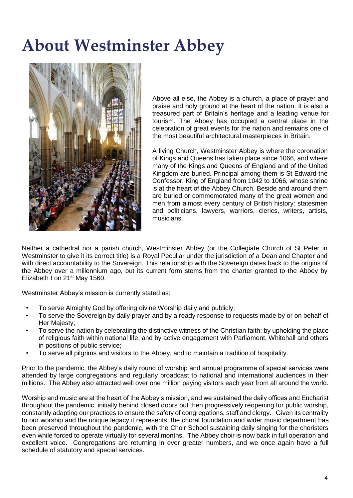### **About Westminster Abbey**



Above all else, the Abbey is a church, a place of prayer and praise and holy ground at the heart of the nation. It is also a treasured part of Britain's heritage and a leading venue for tourism. The Abbey has occupied a central place in the celebration of great events for the nation and remains one of the most beautiful architectural masterpieces in Britain.

A living Church, Westminster Abbey is where the coronation of Kings and Queens has taken place since 1066, and where many of the Kings and Queens of England and of the United Kingdom are buried. Principal among them is St Edward the Confessor, King of England from 1042 to 1066, whose shrine is at the heart of the Abbey Church. Beside and around them are buried or commemorated many of the great women and men from almost every century of British history: statesmen and politicians, lawyers, warriors, clerics, writers, artists, musicians.

Neither a cathedral nor a parish church, Westminster Abbey (or the Collegiate Church of St Peter in Westminster to give it its correct title) is a Royal Peculiar under the jurisdiction of a Dean and Chapter and with direct accountability to the Sovereign. This relationship with the Sovereign dates back to the origins of the Abbey over a millennium ago, but its current form stems from the charter granted to the Abbey by Elizabeth I on 21<sup>st</sup> May 1560.

Westminster Abbey's mission is currently stated as:

- To serve Almighty God by offering divine Worship daily and publicly;
- To serve the Sovereign by daily prayer and by a ready response to requests made by or on behalf of Her Majesty;
- To serve the nation by celebrating the distinctive witness of the Christian faith; by upholding the place of religious faith within national life; and by active engagement with Parliament, Whitehall and others in positions of public service;
- To serve all pilgrims and visitors to the Abbey, and to maintain a tradition of hospitality.

Prior to the pandemic, the Abbey's daily round of worship and annual programme of special services were attended by large congregations and regularly broadcast to national and international audiences in their millions. The Abbey also attracted well over one million paying visitors each year from all around the world.

Worship and music are at the heart of the Abbey's mission, and we sustained the daily offices and Eucharist throughout the pandemic, initially behind closed doors but then progressively reopening for public worship, constantly adapting our practices to ensure the safety of congregations, staff and clergy. Given its centrality to our worship and the unique legacy it represents, the choral foundation and wider music department has been preserved throughout the pandemic, with the Choir School sustaining daily singing for the choristers even while forced to operate virtually for several months. The Abbey choir is now back in full operation and excellent voice. Congregations are returning in ever greater numbers, and we once again have a full schedule of statutory and special services.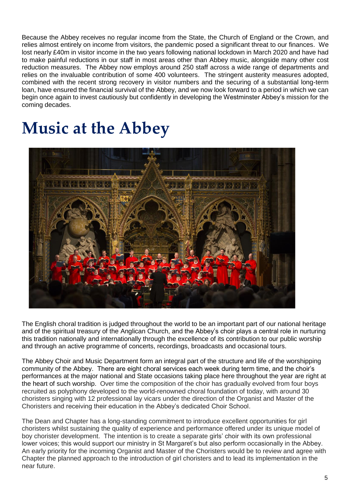Because the Abbey receives no regular income from the State, the Church of England or the Crown, and relies almost entirely on income from visitors, the pandemic posed a significant threat to our finances. We lost nearly £40m in visitor income in the two years following national lockdown in March 2020 and have had to make painful reductions in our staff in most areas other than Abbey music, alongside many other cost reduction measures. The Abbey now employs around 250 staff across a wide range of departments and relies on the invaluable contribution of some 400 volunteers. The stringent austerity measures adopted, combined with the recent strong recovery in visitor numbers and the securing of a substantial long-term loan, have ensured the financial survival of the Abbey, and we now look forward to a period in which we can begin once again to invest cautiously but confidently in developing the Westminster Abbey's mission for the coming decades.

### **Music at the Abbey**



The English choral tradition is judged throughout the world to be an important part of our national heritage and of the spiritual treasury of the Anglican Church, and the Abbey's choir plays a central role in nurturing this tradition nationally and internationally through the excellence of its contribution to our public worship and through an active programme of concerts, recordings, broadcasts and occasional tours.

The Abbey Choir and Music Department form an integral part of the structure and life of the worshipping community of the Abbey. There are eight choral services each week during term time, and the choir's performances at the major national and State occasions taking place here throughout the year are right at the heart of such worship. Over time the composition of the choir has gradually evolved from four boys recruited as polyphony developed to the world-renowned choral foundation of today, with around 30 choristers singing with 12 professional lay vicars under the direction of the Organist and Master of the Choristers and receiving their education in the Abbey's dedicated Choir School.

The Dean and Chapter has a long-standing commitment to introduce excellent opportunities for girl choristers whilst sustaining the quality of experience and performance offered under its unique model of boy chorister development. The intention is to create a separate girls' choir with its own professional lower voices; this would support our ministry in St Margaret's but also perform occasionally in the Abbey. An early priority for the incoming Organist and Master of the Choristers would be to review and agree with Chapter the planned approach to the introduction of girl choristers and to lead its implementation in the near future.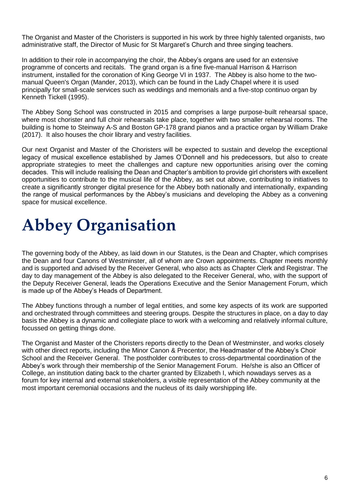The Organist and Master of the Choristers is supported in his work by three highly talented organists, two administrative staff, the Director of Music for St Margaret's Church and three singing teachers.

In addition to their role in accompanying the choir, the Abbey's organs are used for an extensive programme of concerts and recitals. The grand organ is a fine five-manual Harrison & Harrison instrument, installed for the coronation of King George VI in 1937. The Abbey is also home to the twomanual Queen's Organ (Mander, 2013), which can be found in the Lady Chapel where it is used principally for small-scale services such as weddings and memorials and a five-stop continuo organ by Kenneth Tickell (1995).

The Abbey Song School was constructed in 2015 and comprises a large purpose-built rehearsal space, where most chorister and full choir rehearsals take place, together with two smaller rehearsal rooms. The building is home to Steinway A-S and Boston GP-178 grand pianos and a practice organ by William Drake (2017). It also houses the choir library and vestry facilities.

Our next Organist and Master of the Choristers will be expected to sustain and develop the exceptional legacy of musical excellence established by James O'Donnell and his predecessors, but also to create appropriate strategies to meet the challenges and capture new opportunities arising over the coming decades. This will include realising the Dean and Chapter's ambition to provide girl choristers with excellent opportunities to contribute to the musical life of the Abbey, as set out above, contributing to initiatives to create a significantly stronger digital presence for the Abbey both nationally and internationally, expanding the range of musical performances by the Abbey's musicians and developing the Abbey as a convening space for musical excellence.

## **Abbey Organisation**

The governing body of the Abbey, as laid down in our Statutes, is the Dean and Chapter, which comprises the Dean and four Canons of Westminster, all of whom are Crown appointments. Chapter meets monthly and is supported and advised by the Receiver General, who also acts as Chapter Clerk and Registrar. The day to day management of the Abbey is also delegated to the Receiver General, who, with the support of the Deputy Receiver General, leads the Operations Executive and the Senior Management Forum, which is made up of the Abbey's Heads of Department.

The Abbey functions through a number of legal entities, and some key aspects of its work are supported and orchestrated through committees and steering groups. Despite the structures in place, on a day to day basis the Abbey is a dynamic and collegiate place to work with a welcoming and relatively informal culture, focussed on getting things done.

The Organist and Master of the Choristers reports directly to the Dean of Westminster, and works closely with other direct reports, including the Minor Canon & Precentor, the Headmaster of the Abbey's Choir School and the Receiver General. The postholder contributes to cross-departmental coordination of the Abbey's work through their membership of the Senior Management Forum. He/she is also an Officer of College, an institution dating back to the charter granted by Elizabeth I, which nowadays serves as a forum for key internal and external stakeholders, a visible representation of the Abbey community at the most important ceremonial occasions and the nucleus of its daily worshipping life.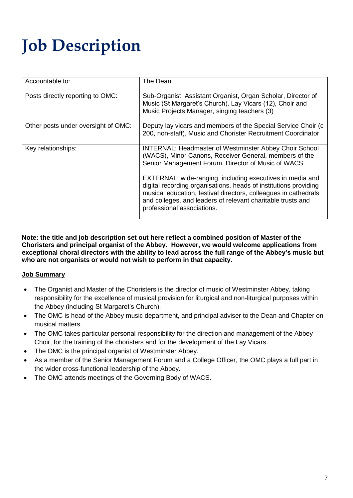# **Job Description**

| Accountable to:                     | The Dean                                                                                                                                                                                                                                                                                      |
|-------------------------------------|-----------------------------------------------------------------------------------------------------------------------------------------------------------------------------------------------------------------------------------------------------------------------------------------------|
| Posts directly reporting to OMC:    | Sub-Organist, Assistant Organist, Organ Scholar, Director of<br>Music (St Margaret's Church), Lay Vicars (12), Choir and<br>Music Projects Manager, singing teachers (3)                                                                                                                      |
| Other posts under oversight of OMC: | Deputy lay vicars and members of the Special Service Choir (c<br>200, non-staff), Music and Chorister Recruitment Coordinator                                                                                                                                                                 |
| Key relationships:                  | <b>INTERNAL: Headmaster of Westminster Abbey Choir School</b><br>(WACS), Minor Canons, Receiver General, members of the<br>Senior Management Forum, Director of Music of WACS                                                                                                                 |
|                                     | EXTERNAL: wide-ranging, including executives in media and<br>digital recording organisations, heads of institutions providing<br>musical education, festival directors, colleagues in cathedrals<br>and colleges, and leaders of relevant charitable trusts and<br>professional associations. |

**Note: the title and job description set out here reflect a combined position of Master of the Choristers and principal organist of the Abbey. However, we would welcome applications from exceptional choral directors with the ability to lead across the full range of the Abbey's music but who are not organists or would not wish to perform in that capacity.** 

#### **Job Summary**

- The Organist and Master of the Choristers is the director of music of Westminster Abbey, taking responsibility for the excellence of musical provision for liturgical and non-liturgical purposes within the Abbey (including St Margaret's Church).
- The OMC is head of the Abbey music department, and principal adviser to the Dean and Chapter on musical matters.
- The OMC takes particular personal responsibility for the direction and management of the Abbey Choir, for the training of the choristers and for the development of the Lay Vicars.
- The OMC is the principal organist of Westminster Abbey.
- As a member of the Senior Management Forum and a College Officer, the OMC plays a full part in the wider cross-functional leadership of the Abbey.
- The OMC attends meetings of the Governing Body of WACS.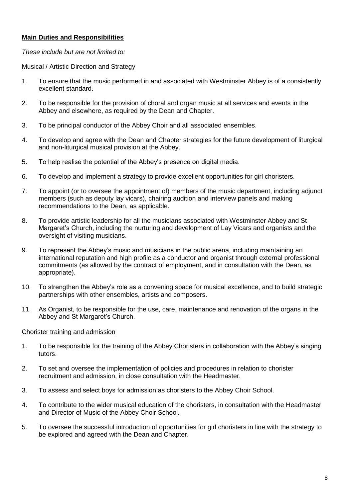#### **Main Duties and Responsibilities**

*These include but are not limited to:*

#### Musical / Artistic Direction and Strategy

- 1. To ensure that the music performed in and associated with Westminster Abbey is of a consistently excellent standard.
- 2. To be responsible for the provision of choral and organ music at all services and events in the Abbey and elsewhere, as required by the Dean and Chapter.
- 3. To be principal conductor of the Abbey Choir and all associated ensembles.
- 4. To develop and agree with the Dean and Chapter strategies for the future development of liturgical and non-liturgical musical provision at the Abbey.
- 5. To help realise the potential of the Abbey's presence on digital media.
- 6. To develop and implement a strategy to provide excellent opportunities for girl choristers.
- 7. To appoint (or to oversee the appointment of) members of the music department, including adjunct members (such as deputy lay vicars), chairing audition and interview panels and making recommendations to the Dean, as applicable.
- 8. To provide artistic leadership for all the musicians associated with Westminster Abbey and St Margaret's Church, including the nurturing and development of Lay Vicars and organists and the oversight of visiting musicians.
- 9. To represent the Abbey's music and musicians in the public arena, including maintaining an international reputation and high profile as a conductor and organist through external professional commitments (as allowed by the contract of employment, and in consultation with the Dean, as appropriate).
- 10. To strengthen the Abbey's role as a convening space for musical excellence, and to build strategic partnerships with other ensembles, artists and composers.
- 11. As Organist, to be responsible for the use, care, maintenance and renovation of the organs in the Abbey and St Margaret's Church.

#### Chorister training and admission

- 1. To be responsible for the training of the Abbey Choristers in collaboration with the Abbey's singing tutors.
- 2. To set and oversee the implementation of policies and procedures in relation to chorister recruitment and admission, in close consultation with the Headmaster.
- 3. To assess and select boys for admission as choristers to the Abbey Choir School.
- 4. To contribute to the wider musical education of the choristers, in consultation with the Headmaster and Director of Music of the Abbey Choir School.
- 5. To oversee the successful introduction of opportunities for girl choristers in line with the strategy to be explored and agreed with the Dean and Chapter.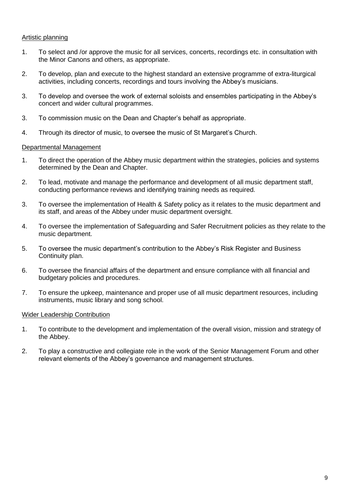#### Artistic planning

- 1. To select and /or approve the music for all services, concerts, recordings etc. in consultation with the Minor Canons and others, as appropriate.
- 2. To develop, plan and execute to the highest standard an extensive programme of extra-liturgical activities, including concerts, recordings and tours involving the Abbey's musicians.
- 3. To develop and oversee the work of external soloists and ensembles participating in the Abbey's concert and wider cultural programmes.
- 3. To commission music on the Dean and Chapter's behalf as appropriate.
- 4. Through its director of music, to oversee the music of St Margaret's Church.

#### Departmental Management

- 1. To direct the operation of the Abbey music department within the strategies, policies and systems determined by the Dean and Chapter.
- 2. To lead, motivate and manage the performance and development of all music department staff, conducting performance reviews and identifying training needs as required.
- 3. To oversee the implementation of Health & Safety policy as it relates to the music department and its staff, and areas of the Abbey under music department oversight.
- 4. To oversee the implementation of Safeguarding and Safer Recruitment policies as they relate to the music department.
- 5. To oversee the music department's contribution to the Abbey's Risk Register and Business Continuity plan.
- 6. To oversee the financial affairs of the department and ensure compliance with all financial and budgetary policies and procedures.
- 7. To ensure the upkeep, maintenance and proper use of all music department resources, including instruments, music library and song school.

#### Wider Leadership Contribution

- 1. To contribute to the development and implementation of the overall vision, mission and strategy of the Abbey.
- 2. To play a constructive and collegiate role in the work of the Senior Management Forum and other relevant elements of the Abbey's governance and management structures.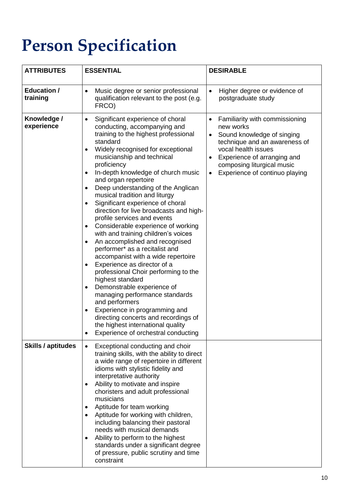# **Person Specification**

| <b>ATTRIBUTES</b>              | <b>ESSENTIAL</b>                                                                                                                                                                                                                                                                                                                                                                                                                                                                                                                                                                                                                                                                                                                                                                                                                                                                                                                                                                                                                            | <b>DESIRABLE</b>                                                                                                                                                                                                                              |
|--------------------------------|---------------------------------------------------------------------------------------------------------------------------------------------------------------------------------------------------------------------------------------------------------------------------------------------------------------------------------------------------------------------------------------------------------------------------------------------------------------------------------------------------------------------------------------------------------------------------------------------------------------------------------------------------------------------------------------------------------------------------------------------------------------------------------------------------------------------------------------------------------------------------------------------------------------------------------------------------------------------------------------------------------------------------------------------|-----------------------------------------------------------------------------------------------------------------------------------------------------------------------------------------------------------------------------------------------|
| <b>Education /</b><br>training | Music degree or senior professional<br>$\bullet$<br>qualification relevant to the post (e.g.<br>FRCO)                                                                                                                                                                                                                                                                                                                                                                                                                                                                                                                                                                                                                                                                                                                                                                                                                                                                                                                                       | Higher degree or evidence of<br>$\bullet$<br>postgraduate study                                                                                                                                                                               |
| Knowledge /<br>experience      | Significant experience of choral<br>$\bullet$<br>conducting, accompanying and<br>training to the highest professional<br>standard<br>Widely recognised for exceptional<br>musicianship and technical<br>proficiency<br>In-depth knowledge of church music<br>$\bullet$<br>and organ repertoire<br>Deep understanding of the Anglican<br>musical tradition and liturgy<br>Significant experience of choral<br>direction for live broadcasts and high-<br>profile services and events<br>Considerable experience of working<br>$\bullet$<br>with and training children's voices<br>An accomplished and recognised<br>٠<br>performer* as a recitalist and<br>accompanist with a wide repertoire<br>Experience as director of a<br>$\bullet$<br>professional Choir performing to the<br>highest standard<br>Demonstrable experience of<br>managing performance standards<br>and performers<br>Experience in programming and<br>directing concerts and recordings of<br>the highest international quality<br>Experience of orchestral conducting | Familiarity with commissioning<br>new works<br>Sound knowledge of singing<br>technique and an awareness of<br>vocal health issues<br>Experience of arranging and<br>composing liturgical music<br>Experience of continuo playing<br>$\bullet$ |
| Skills / aptitudes             | Exceptional conducting and choir<br>$\bullet$<br>training skills, with the ability to direct<br>a wide range of repertoire in different<br>idioms with stylistic fidelity and<br>interpretative authority<br>Ability to motivate and inspire<br>٠<br>choristers and adult professional<br>musicians<br>Aptitude for team working<br>Aptitude for working with children,<br>including balancing their pastoral<br>needs with musical demands<br>Ability to perform to the highest<br>standards under a significant degree<br>of pressure, public scrutiny and time<br>constraint                                                                                                                                                                                                                                                                                                                                                                                                                                                             |                                                                                                                                                                                                                                               |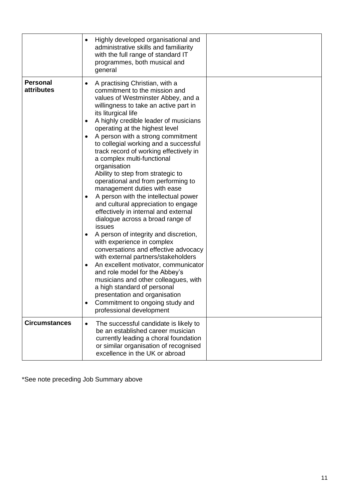|                               | Highly developed organisational and<br>administrative skills and familiarity<br>with the full range of standard IT<br>programmes, both musical and<br>general                                                                                                                                                                                                                                                                                                                                                                                                                                                                                                                                                                                                                                                                                                                                                                                                                                                                                                                                                                  |
|-------------------------------|--------------------------------------------------------------------------------------------------------------------------------------------------------------------------------------------------------------------------------------------------------------------------------------------------------------------------------------------------------------------------------------------------------------------------------------------------------------------------------------------------------------------------------------------------------------------------------------------------------------------------------------------------------------------------------------------------------------------------------------------------------------------------------------------------------------------------------------------------------------------------------------------------------------------------------------------------------------------------------------------------------------------------------------------------------------------------------------------------------------------------------|
| <b>Personal</b><br>attributes | A practising Christian, with a<br>commitment to the mission and<br>values of Westminster Abbey, and a<br>willingness to take an active part in<br>its liturgical life<br>A highly credible leader of musicians<br>operating at the highest level<br>A person with a strong commitment<br>to collegial working and a successful<br>track record of working effectively in<br>a complex multi-functional<br>organisation<br>Ability to step from strategic to<br>operational and from performing to<br>management duties with ease<br>A person with the intellectual power<br>٠<br>and cultural appreciation to engage<br>effectively in internal and external<br>dialogue across a broad range of<br>issues<br>A person of integrity and discretion,<br>with experience in complex<br>conversations and effective advocacy<br>with external partners/stakeholders<br>An excellent motivator, communicator<br>$\bullet$<br>and role model for the Abbey's<br>musicians and other colleagues, with<br>a high standard of personal<br>presentation and organisation<br>Commitment to ongoing study and<br>professional development |
| <b>Circumstances</b>          | The successful candidate is likely to<br>$\bullet$<br>be an established career musician<br>currently leading a choral foundation<br>or similar organisation of recognised<br>excellence in the UK or abroad                                                                                                                                                                                                                                                                                                                                                                                                                                                                                                                                                                                                                                                                                                                                                                                                                                                                                                                    |

\*See note preceding Job Summary above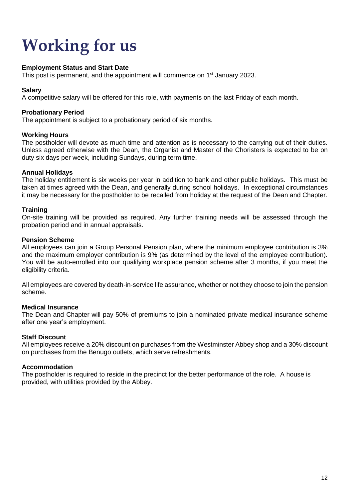# **Working for us**

#### **Employment Status and Start Date**

This post is permanent, and the appointment will commence on 1<sup>st</sup> January 2023.

#### **Salary**

A competitive salary will be offered for this role, with payments on the last Friday of each month.

#### **Probationary Period**

The appointment is subject to a probationary period of six months.

#### **Working Hours**

The postholder will devote as much time and attention as is necessary to the carrying out of their duties. Unless agreed otherwise with the Dean, the Organist and Master of the Choristers is expected to be on duty six days per week, including Sundays, during term time.

#### **Annual Holidays**

The holiday entitlement is six weeks per year in addition to bank and other public holidays. This must be taken at times agreed with the Dean, and generally during school holidays. In exceptional circumstances it may be necessary for the postholder to be recalled from holiday at the request of the Dean and Chapter.

#### **Training**

On-site training will be provided as required. Any further training needs will be assessed through the probation period and in annual appraisals.

#### **Pension Scheme**

All employees can join a Group Personal Pension plan, where the minimum employee contribution is 3% and the maximum employer contribution is 9% (as determined by the level of the employee contribution). You will be auto-enrolled into our qualifying workplace pension scheme after 3 months, if you meet the eligibility criteria.

All employees are covered by death-in-service life assurance, whether or not they choose to join the pension scheme.

#### **Medical Insurance**

The Dean and Chapter will pay 50% of premiums to join a nominated private medical insurance scheme after one year's employment.

#### **Staff Discount**

All employees receive a 20% discount on purchases from the Westminster Abbey shop and a 30% discount on purchases from the Benugo outlets, which serve refreshments.

#### **Accommodation**

The postholder is required to reside in the precinct for the better performance of the role. A house is provided, with utilities provided by the Abbey.